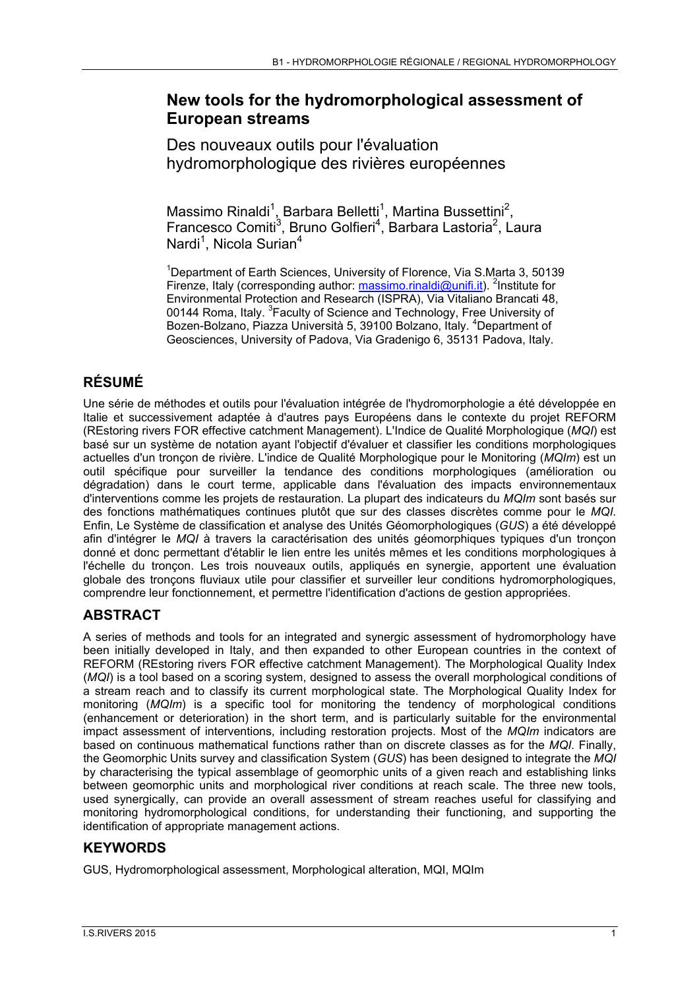## **New tools for the hydromorphological assessment of European streams**

Des nouveaux outils pour l'évaluation hydromorphologique des rivières européennes

Massimo Rinaldi<sup>1</sup>, Barbara Belletti<sup>1</sup>, Martina Bussettini<sup>2</sup>, Francesco Comiti<sup>3</sup>, Bruno Golfieri<sup>4</sup>, Barbara Lastoria<sup>2</sup>, Laura Nardi<sup>1</sup>, Nicola Surian<sup>4</sup>

<sup>1</sup>Department of Earth Sciences, University of Florence, Via S.Marta 3, 50139 Firenze, Italy (corresponding author: **massimo.rinaldi@unifi.it**). <sup>2</sup>Institute for Environmental Protection and Research (ISPRA), Via Vitaliano Brancati 48, 00144 Roma, Italy. <sup>3</sup> Faculty of Science and Technology, Free University of Bozen-Bolzano, Piazza Università 5, 39100 Bolzano, Italy. <sup>4</sup>Department of Geosciences, University of Padova, Via Gradenigo 6, 35131 Padova, Italy.

# **RÉSUMÉ**

Une série de méthodes et outils pour l'évaluation intégrée de l'hydromorphologie a été développée en Italie et successivement adaptée à d'autres pays Européens dans le contexte du projet REFORM (REstoring rivers FOR effective catchment Management). L'Indice de Qualité Morphologique (*MQI*) est basé sur un système de notation ayant l'objectif d'évaluer et classifier les conditions morphologiques actuelles d'un tronçon de rivière. L'indice de Qualité Morphologique pour le Monitoring (*MQIm*) est un outil spécifique pour surveiller la tendance des conditions morphologiques (amélioration ou dégradation) dans le court terme, applicable dans l'évaluation des impacts environnementaux d'interventions comme les projets de restauration. La plupart des indicateurs du *MQIm* sont basés sur des fonctions mathématiques continues plutôt que sur des classes discrètes comme pour le *MQI*. Enfin, Le Système de classification et analyse des Unités Géomorphologiques (*GUS*) a été développé afin d'intégrer le *MQI* à travers la caractérisation des unités géomorphiques typiques d'un tronçon donné et donc permettant d'établir le lien entre les unités mêmes et les conditions morphologiques à l'échelle du tronçon. Les trois nouveaux outils, appliqués en synergie, apportent une évaluation globale des tronçons fluviaux utile pour classifier et surveiller leur conditions hydromorphologiques, comprendre leur fonctionnement, et permettre l'identification d'actions de gestion appropriées.

# **ABSTRACT**

A series of methods and tools for an integrated and synergic assessment of hydromorphology have been initially developed in Italy, and then expanded to other European countries in the context of REFORM (REstoring rivers FOR effective catchment Management). The Morphological Quality Index (*MQI*) is a tool based on a scoring system, designed to assess the overall morphological conditions of a stream reach and to classify its current morphological state. The Morphological Quality Index for monitoring (*MQIm*) is a specific tool for monitoring the tendency of morphological conditions (enhancement or deterioration) in the short term, and is particularly suitable for the environmental impact assessment of interventions, including restoration projects. Most of the *MQIm* indicators are based on continuous mathematical functions rather than on discrete classes as for the *MQI*. Finally, the Geomorphic Units survey and classification System (*GUS*) has been designed to integrate the *MQI* by characterising the typical assemblage of geomorphic units of a given reach and establishing links between geomorphic units and morphological river conditions at reach scale. The three new tools, used synergically, can provide an overall assessment of stream reaches useful for classifying and monitoring hydromorphological conditions, for understanding their functioning, and supporting the identification of appropriate management actions.

### **KEYWORDS**

GUS, Hydromorphological assessment, Morphological alteration, MQI, MQIm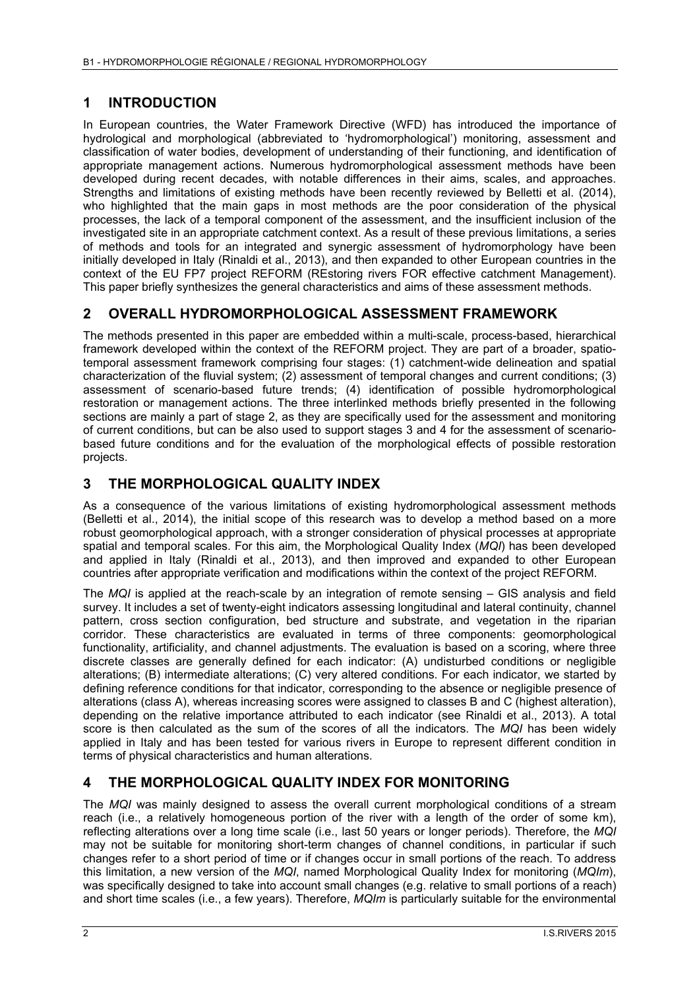#### **1 INTRODUCTION**

In European countries, the Water Framework Directive (WFD) has introduced the importance of hydrological and morphological (abbreviated to 'hydromorphological') monitoring, assessment and classification of water bodies, development of understanding of their functioning, and identification of appropriate management actions. Numerous hydromorphological assessment methods have been developed during recent decades, with notable differences in their aims, scales, and approaches. Strengths and limitations of existing methods have been recently reviewed by Belletti et al. (2014), who highlighted that the main gaps in most methods are the poor consideration of the physical processes, the lack of a temporal component of the assessment, and the insufficient inclusion of the investigated site in an appropriate catchment context. As a result of these previous limitations, a series of methods and tools for an integrated and synergic assessment of hydromorphology have been initially developed in Italy (Rinaldi et al., 2013), and then expanded to other European countries in the context of the EU FP7 project REFORM (REstoring rivers FOR effective catchment Management). This paper briefly synthesizes the general characteristics and aims of these assessment methods.

### **2 OVERALL HYDROMORPHOLOGICAL ASSESSMENT FRAMEWORK**

The methods presented in this paper are embedded within a multi-scale, process-based, hierarchical framework developed within the context of the REFORM project. They are part of a broader, spatiotemporal assessment framework comprising four stages: (1) catchment-wide delineation and spatial characterization of the fluvial system; (2) assessment of temporal changes and current conditions; (3) assessment of scenario-based future trends; (4) identification of possible hydromorphological restoration or management actions. The three interlinked methods briefly presented in the following sections are mainly a part of stage 2, as they are specifically used for the assessment and monitoring of current conditions, but can be also used to support stages 3 and 4 for the assessment of scenariobased future conditions and for the evaluation of the morphological effects of possible restoration projects.

### **3 THE MORPHOLOGICAL QUALITY INDEX**

As a consequence of the various limitations of existing hydromorphological assessment methods (Belletti et al., 2014), the initial scope of this research was to develop a method based on a more robust geomorphological approach, with a stronger consideration of physical processes at appropriate spatial and temporal scales. For this aim, the Morphological Quality Index (*MQI*) has been developed and applied in Italy (Rinaldi et al., 2013), and then improved and expanded to other European countries after appropriate verification and modifications within the context of the project REFORM.

The *MQI* is applied at the reach-scale by an integration of remote sensing – GIS analysis and field survey. It includes a set of twenty-eight indicators assessing longitudinal and lateral continuity, channel pattern, cross section configuration, bed structure and substrate, and vegetation in the riparian corridor. These characteristics are evaluated in terms of three components: geomorphological functionality, artificiality, and channel adjustments. The evaluation is based on a scoring, where three discrete classes are generally defined for each indicator: (A) undisturbed conditions or negligible alterations; (B) intermediate alterations; (C) very altered conditions. For each indicator, we started by defining reference conditions for that indicator, corresponding to the absence or negligible presence of alterations (class A), whereas increasing scores were assigned to classes B and C (highest alteration), depending on the relative importance attributed to each indicator (see Rinaldi et al., 2013). A total score is then calculated as the sum of the scores of all the indicators. The *MQI* has been widely applied in Italy and has been tested for various rivers in Europe to represent different condition in terms of physical characteristics and human alterations.

#### **4 THE MORPHOLOGICAL QUALITY INDEX FOR MONITORING**

The *MQI* was mainly designed to assess the overall current morphological conditions of a stream reach (i.e., a relatively homogeneous portion of the river with a length of the order of some km), reflecting alterations over a long time scale (i.e., last 50 years or longer periods). Therefore, the *MQI* may not be suitable for monitoring short-term changes of channel conditions, in particular if such changes refer to a short period of time or if changes occur in small portions of the reach. To address this limitation, a new version of the *MQI*, named Morphological Quality Index for monitoring (*MQIm*), was specifically designed to take into account small changes (e.g. relative to small portions of a reach) and short time scales (i.e., a few years). Therefore, *MQIm* is particularly suitable for the environmental